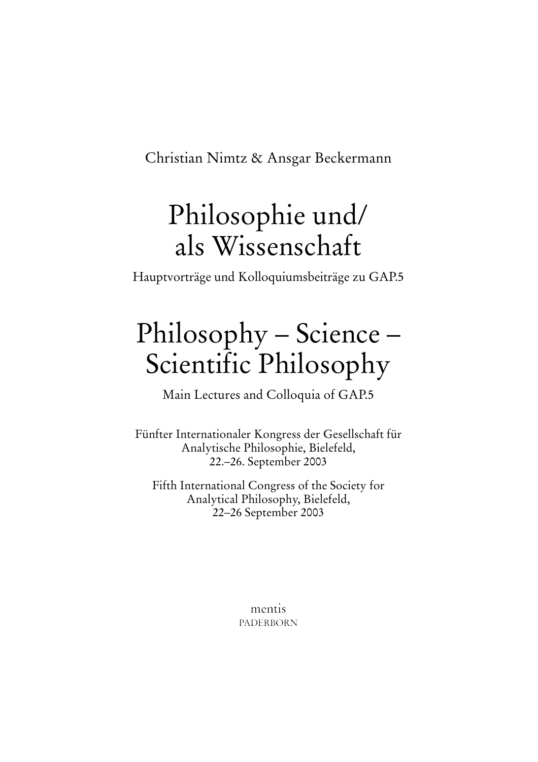Christian Nimtz & Ansgar Beckermann

## Philosophie und/ als Wissenschaft

Hauptvorträge und Kolloquiumsbeiträge zu GAP.5

# Philosophy – Science – Scientific Philosophy

Main Lectures and Colloquia of GAP.5

Fünfter Internationaler Kongress der Gesellschaft für Analytische Philosophie, Bielefeld, 22.–26. September 2003

Fifth International Congress of the Society for Analytical Philosophy, Bielefeld, 22–26 September 2003

> mentis PADERBORN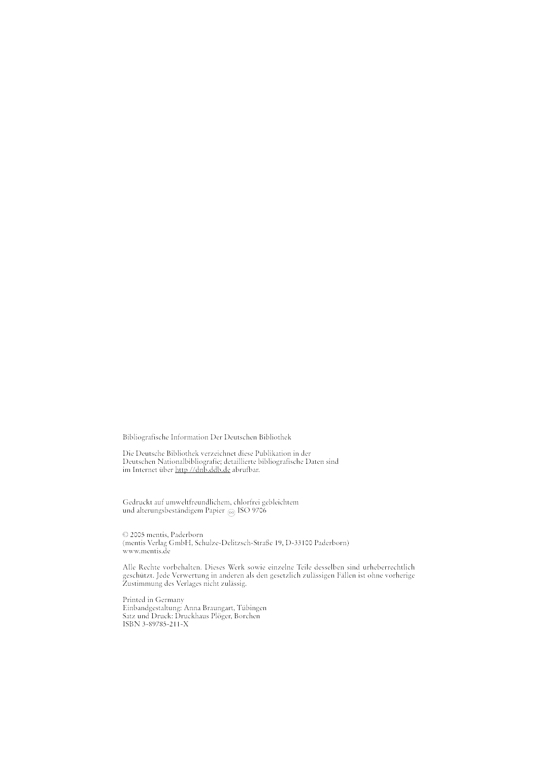Bibliografische Information Der Deutschen Bibliothek

Die Deutsche Bibliothek verzeichnet diese Publikation in der Deutschen Nationalbibliografie; detaillierte bibliografische Daten sind im Internet über http //dnb.ddb.de abrufbar.

Gedruckt auf umweltfreundlichem, chlorfrei gebleichtem und alterungsbeständigem Papier  $_{\odot}$  ISO 9706

© 2005 mentis, Paderborn (mentis Verlag GmbH, Schulze-Delitzsch-Straße 19, D-33100 Paderborn) www.mentis.de

Alle Rechte vorbehalten. Dieses Werk sowie einzelne Teile desselben sind urheberrechtlich geschützt. Jede Verwertung in anderen als den gesetzlich zulässigen Fällen ist ohne vorherige Zustimmung des Verlages nicht zulässig.

Printed in Germany Einbandgestaltung: Anna Braungart, Tübingen Satz und Druck: Druckhaus Plöger, Borchen ISBN 3-89785-211-X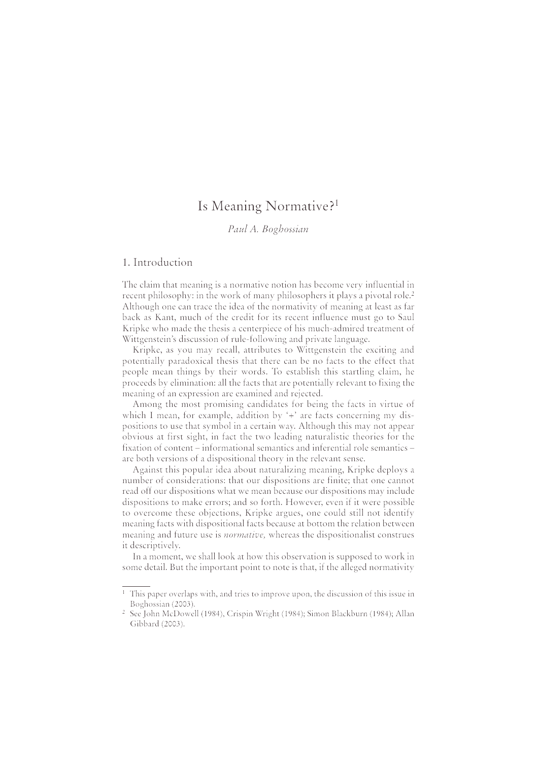#### *Paul A. Boghossian*

#### 1. Introduction

The claim that meaning is a normative notion has become very influential in recent philosophy: in the work of many philosophers it plays a pivotal role.2 Although one can trace the idea of the normativity of meaning at least as far back as Kant, much of the credit for its recent influence must go to Saul Kripke who made the thesis a centerpiece of his much-admired treatment of Wittgenstein's discussion of rule-following and private language.

Kripke, as you may recall, attributes to Wittgenstein the exciting and potentially paradoxical thesis that there can be no facts to the effect that people mean things by their words. To establish this startling claim, he proceeds by elimination: all the facts that are potentially relevant to fixing the meaning of an expression are examined and rejected.

Among the most promising candidates for being the facts in virtue of which I mean, for example, addition by '+' are facts concerning my dispositions to use that symbol in a certain way. Although this may not appear obvious at first sight, in fact the two leading naturalistic theories for the fixation of content – informational semantics and inferential role semantics – are both versions of a dispositional theory in the relevant sense.

Against this popular idea about naturalizing meaning, Kripke deploys a number of considerations: that our dispositions are finite; that one cannot read off our dispositions what we mean because our dispositions may include dispositions to make errors; and so forth. However, even if it were possible to overcome these objections, Kripke argues, one could still not identify meaning facts with dispositional facts because at bottom the relation between meaning and future use is *normative,* whereas the dispositionalist construes it descriptively.

In a moment, we shall look at how this observation is supposed to work in some detail. But the important point to note is that, if the alleged normativity

<sup>&</sup>lt;sup>1</sup> This paper overlaps with, and tries to improve upon, the discussion of this issue in

Boghossian (2003). 2 See John McDowell (1984), Crispin Wright (1984); Simon Blackburn (1984); Allan Gibbard (2003).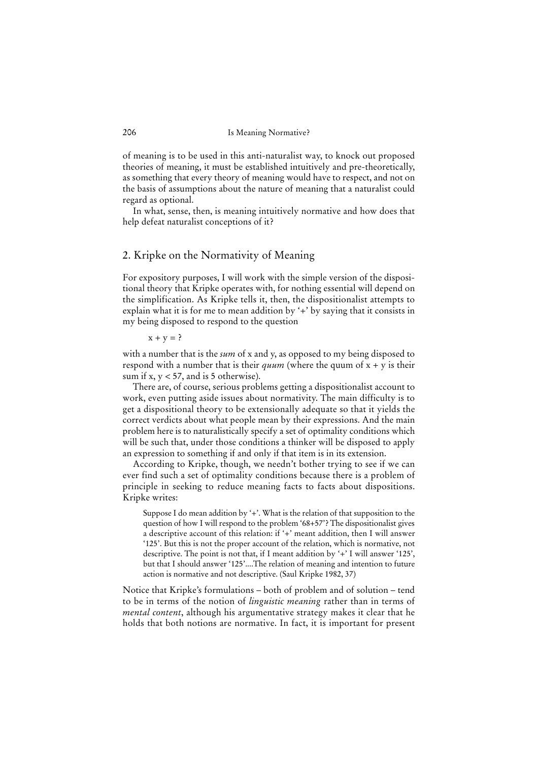of meaning is to be used in this anti-naturalist way, to knock out proposed theories of meaning, it must be established intuitively and pre-theoretically, as something that every theory of meaning would have to respect, and not on the basis of assumptions about the nature of meaning that a naturalist could regard as optional.

In what, sense, then, is meaning intuitively normative and how does that help defeat naturalist conceptions of it?

#### 2. Kripke on the Normativity of Meaning

For expository purposes, I will work with the simple version of the dispositional theory that Kripke operates with, for nothing essential will depend on the simplification. As Kripke tells it, then, the dispositionalist attempts to explain what it is for me to mean addition by '+' by saying that it consists in my being disposed to respond to the question

 $x + y = ?$ 

with a number that is the *sum* of x and y, as opposed to my being disposed to respond with a number that is their *quum* (where the quum of  $x + y$  is their sum if  $x, y < 57$ , and is 5 otherwise).

There are, of course, serious problems getting a dispositionalist account to work, even putting aside issues about normativity. The main difficulty is to get a dispositional theory to be extensionally adequate so that it yields the correct verdicts about what people mean by their expressions. And the main problem here is to naturalistically specify a set of optimality conditions which will be such that, under those conditions a thinker will be disposed to apply an expression to something if and only if that item is in its extension.

According to Kripke, though, we needn't bother trying to see if we can ever find such a set of optimality conditions because there is a problem of principle in seeking to reduce meaning facts to facts about dispositions. Kripke writes:

Suppose I do mean addition by  $+$ . What is the relation of that supposition to the question of how I will respond to the problem '68+57'? The dispositionalist gives a descriptive account of this relation: if '+' meant addition, then I will answer '125'. But this is not the proper account of the relation, which is normative, not descriptive. The point is not that, if I meant addition by '+' I will answer '125', but that I should answer '125'....The relation of meaning and intention to future action is normative and not descriptive. (Saul Kripke 1982, 37)

Notice that Kripke's formulations – both of problem and of solution – tend to be in terms of the notion of *linguistic meaning* rather than in terms of *mental content*, although his argumentative strategy makes it clear that he holds that both notions are normative. In fact, it is important for present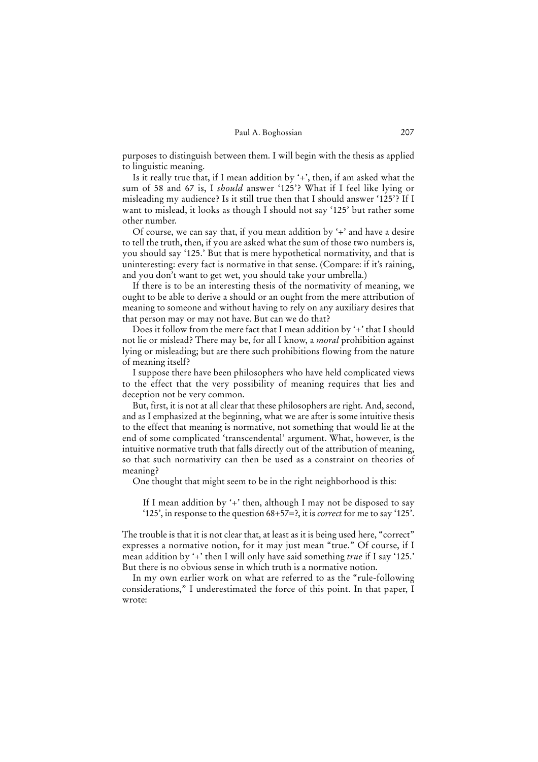purposes to distinguish between them. I will begin with the thesis as applied to linguistic meaning.

Is it really true that, if I mean addition by '+', then, if am asked what the sum of 58 and 67 is, I *should* answer '125'? What if I feel like lying or misleading my audience? Is it still true then that I should answer '125'? If I want to mislead, it looks as though I should not say '125' but rather some other number.

Of course, we can say that, if you mean addition by '+' and have a desire to tell the truth, then, if you are asked what the sum of those two numbers is, you should say '125.' But that is mere hypothetical normativity, and that is uninteresting: every fact is normative in that sense. (Compare: if it's raining, and you don't want to get wet, you should take your umbrella.)

If there is to be an interesting thesis of the normativity of meaning, we ought to be able to derive a should or an ought from the mere attribution of meaning to someone and without having to rely on any auxiliary desires that that person may or may not have. But can we do that?

Does it follow from the mere fact that I mean addition by '+' that I should not lie or mislead? There may be, for all I know, a *moral* prohibition against lying or misleading; but are there such prohibitions flowing from the nature of meaning itself?

I suppose there have been philosophers who have held complicated views to the effect that the very possibility of meaning requires that lies and deception not be very common.

But, first, it is not at all clear that these philosophers are right. And, second, and as I emphasized at the beginning, what we are after is some intuitive thesis to the effect that meaning is normative, not something that would lie at the end of some complicated 'transcendental' argument. What, however, is the intuitive normative truth that falls directly out of the attribution of meaning, so that such normativity can then be used as a constraint on theories of meaning?

One thought that might seem to be in the right neighborhood is this:

If I mean addition by  $+$  then, although I may not be disposed to say '125', in response to the question 68+57=?, it is *correct* for me to say '125'.

The trouble is that it is not clear that, at least as it is being used here, "correct" expresses a normative notion, for it may just mean "true." Of course, if I mean addition by '+' then I will only have said something *true* if I say '125.' But there is no obvious sense in which truth is a normative notion.

In my own earlier work on what are referred to as the "rule-following considerations," I underestimated the force of this point. In that paper, I wrote: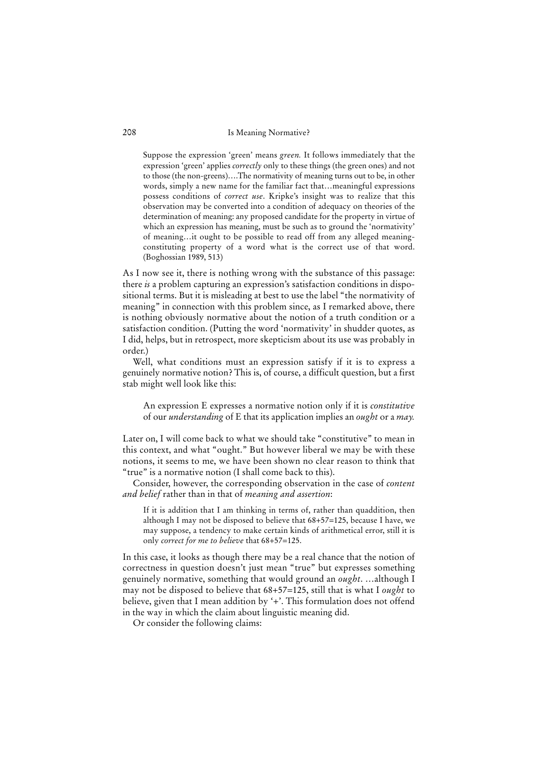Suppose the expression 'green' means *green.* It follows immediately that the expression 'green' applies *correctly* only to these things (the green ones) and not to those (the non-greens)….The normativity of meaning turns out to be, in other words, simply a new name for the familiar fact that…meaningful expressions possess conditions of *correct use*. Kripke's insight was to realize that this observation may be converted into a condition of adequacy on theories of the determination of meaning: any proposed candidate for the property in virtue of which an expression has meaning, must be such as to ground the 'normativity' of meaning…it ought to be possible to read off from any alleged meaningconstituting property of a word what is the correct use of that word. (Boghossian 1989, 513)

As I now see it, there is nothing wrong with the substance of this passage: there *is* a problem capturing an expression's satisfaction conditions in dispositional terms. But it is misleading at best to use the label "the normativity of meaning" in connection with this problem since, as I remarked above, there is nothing obviously normative about the notion of a truth condition or a satisfaction condition. (Putting the word 'normativity' in shudder quotes, as I did, helps, but in retrospect, more skepticism about its use was probably in order.)

Well, what conditions must an expression satisfy if it is to express a genuinely normative notion? This is, of course, a difficult question, but a first stab might well look like this:

An expression E expresses a normative notion only if it is *constitutive* of our *understanding* of E that its application implies an *ought* or a *may.*

Later on, I will come back to what we should take "constitutive" to mean in this context, and what "ought." But however liberal we may be with these notions, it seems to me, we have been shown no clear reason to think that "true" is a normative notion (I shall come back to this).

Consider, however, the corresponding observation in the case of *content and belief* rather than in that of *meaning and assertion*:

If it is addition that I am thinking in terms of, rather than quaddition, then although I may not be disposed to believe that 68+57=125, because I have, we may suppose, a tendency to make certain kinds of arithmetical error, still it is only *correct for me to believe* that 68+57=125.

In this case, it looks as though there may be a real chance that the notion of correctness in question doesn't just mean "true" but expresses something genuinely normative, something that would ground an *ought*. …although I may not be disposed to believe that 68+57=125, still that is what I *ought* to believe, given that I mean addition by '+'. This formulation does not offend in the way in which the claim about linguistic meaning did.

Or consider the following claims: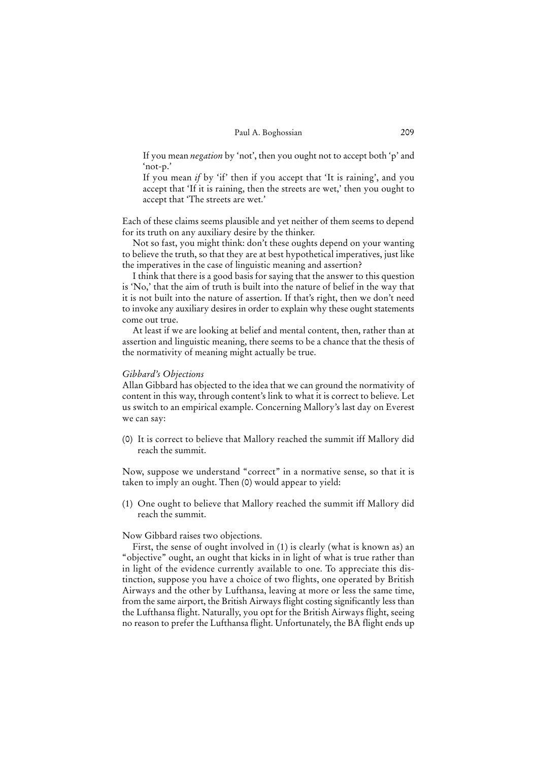If you mean *negation* by 'not', then you ought not to accept both 'p' and 'not-p.'

If you mean *if* by 'if' then if you accept that 'It is raining', and you accept that 'If it is raining, then the streets are wet,' then you ought to accept that 'The streets are wet.'

Each of these claims seems plausible and yet neither of them seems to depend for its truth on any auxiliary desire by the thinker.

Not so fast, you might think: don't these oughts depend on your wanting to believe the truth, so that they are at best hypothetical imperatives, just like the imperatives in the case of linguistic meaning and assertion?

I think that there is a good basis for saying that the answer to this question is 'No,' that the aim of truth is built into the nature of belief in the way that it is not built into the nature of assertion. If that's right, then we don't need to invoke any auxiliary desires in order to explain why these ought statements come out true.

At least if we are looking at belief and mental content, then, rather than at assertion and linguistic meaning, there seems to be a chance that the thesis of the normativity of meaning might actually be true.

#### *Gibbard's Objections*

Allan Gibbard has objected to the idea that we can ground the normativity of content in this way, through content's link to what it is correct to believe. Let us switch to an empirical example. Concerning Mallory's last day on Everest we can say:

(0) It is correct to believe that Mallory reached the summit iff Mallory did reach the summit.

Now, suppose we understand "correct" in a normative sense, so that it is taken to imply an ought. Then (0) would appear to yield:

(1) One ought to believe that Mallory reached the summit iff Mallory did reach the summit.

#### Now Gibbard raises two objections.

First, the sense of ought involved in (1) is clearly (what is known as) an "objective" ought, an ought that kicks in in light of what is true rather than in light of the evidence currently available to one. To appreciate this distinction, suppose you have a choice of two flights, one operated by British Airways and the other by Lufthansa, leaving at more or less the same time, from the same airport, the British Airways flight costing significantly less than the Lufthansa flight. Naturally, you opt for the British Airways flight, seeing no reason to prefer the Lufthansa flight. Unfortunately, the BA flight ends up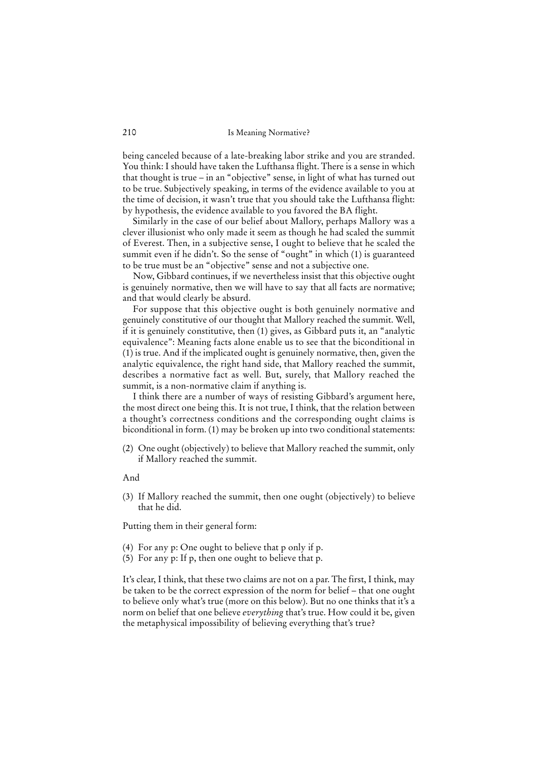being canceled because of a late-breaking labor strike and you are stranded. You think: I should have taken the Lufthansa flight. There is a sense in which that thought is true – in an "objective" sense, in light of what has turned out to be true. Subjectively speaking, in terms of the evidence available to you at the time of decision, it wasn't true that you should take the Lufthansa flight: by hypothesis, the evidence available to you favored the BA flight.

Similarly in the case of our belief about Mallory, perhaps Mallory was a clever illusionist who only made it seem as though he had scaled the summit of Everest. Then, in a subjective sense, I ought to believe that he scaled the summit even if he didn't. So the sense of "ought" in which (1) is guaranteed to be true must be an "objective" sense and not a subjective one.

Now, Gibbard continues, if we nevertheless insist that this objective ought is genuinely normative, then we will have to say that all facts are normative; and that would clearly be absurd.

For suppose that this objective ought is both genuinely normative and genuinely constitutive of our thought that Mallory reached the summit. Well, if it is genuinely constitutive, then (1) gives, as Gibbard puts it, an "analytic equivalence": Meaning facts alone enable us to see that the biconditional in (1) is true. And if the implicated ought is genuinely normative, then, given the analytic equivalence, the right hand side, that Mallory reached the summit, describes a normative fact as well. But, surely, that Mallory reached the summit, is a non-normative claim if anything is.

I think there are a number of ways of resisting Gibbard's argument here, the most direct one being this. It is not true, I think, that the relation between a thought's correctness conditions and the corresponding ought claims is biconditional in form. (1) may be broken up into two conditional statements:

(2) One ought (objectively) to believe that Mallory reached the summit, only if Mallory reached the summit.

And

(3) If Mallory reached the summit, then one ought (objectively) to believe that he did.

Putting them in their general form:

- (4) For any p: One ought to believe that p only if p.
- (5) For any p: If p, then one ought to believe that p.

It's clear, I think, that these two claims are not on a par. The first, I think, may be taken to be the correct expression of the norm for belief – that one ought to believe only what's true (more on this below). But no one thinks that it's a norm on belief that one believe *everything* that's true. How could it be, given the metaphysical impossibility of believing everything that's true?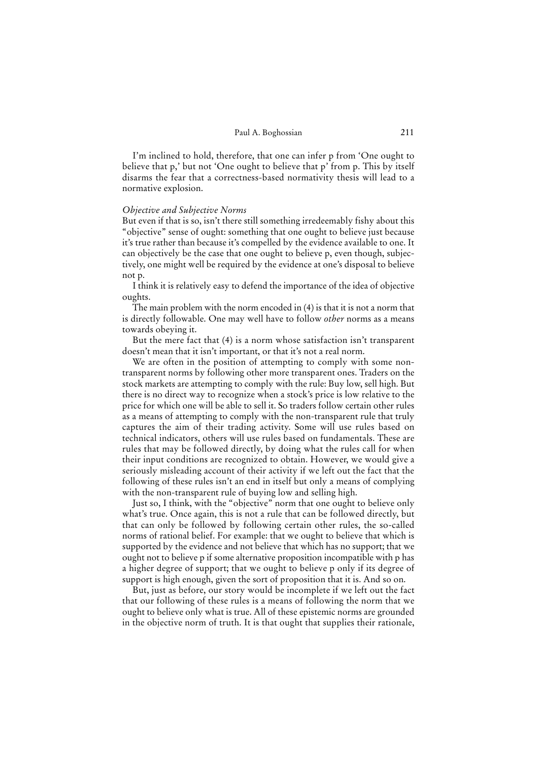I'm inclined to hold, therefore, that one can infer p from 'One ought to believe that p,' but not 'One ought to believe that p' from p. This by itself disarms the fear that a correctness-based normativity thesis will lead to a normative explosion.

#### *Objective and Subjective Norms*

But even if that is so, isn't there still something irredeemably fishy about this "objective" sense of ought: something that one ought to believe just because it's true rather than because it's compelled by the evidence available to one. It can objectively be the case that one ought to believe p, even though, subjectively, one might well be required by the evidence at one's disposal to believe not p.

I think it is relatively easy to defend the importance of the idea of objective oughts.

The main problem with the norm encoded in (4) is that it is not a norm that is directly followable. One may well have to follow *other* norms as a means towards obeying it.

But the mere fact that (4) is a norm whose satisfaction isn't transparent doesn't mean that it isn't important, or that it's not a real norm.

We are often in the position of attempting to comply with some nontransparent norms by following other more transparent ones. Traders on the stock markets are attempting to comply with the rule: Buy low, sell high. But there is no direct way to recognize when a stock's price is low relative to the price for which one will be able to sell it. So traders follow certain other rules as a means of attempting to comply with the non-transparent rule that truly captures the aim of their trading activity. Some will use rules based on technical indicators, others will use rules based on fundamentals. These are rules that may be followed directly, by doing what the rules call for when their input conditions are recognized to obtain. However, we would give a seriously misleading account of their activity if we left out the fact that the following of these rules isn't an end in itself but only a means of complying with the non-transparent rule of buying low and selling high.

Just so, I think, with the "objective" norm that one ought to believe only what's true. Once again, this is not a rule that can be followed directly, but that can only be followed by following certain other rules, the so-called norms of rational belief. For example: that we ought to believe that which is supported by the evidence and not believe that which has no support; that we ought not to believe p if some alternative proposition incompatible with p has a higher degree of support; that we ought to believe p only if its degree of support is high enough, given the sort of proposition that it is. And so on.

But, just as before, our story would be incomplete if we left out the fact that our following of these rules is a means of following the norm that we ought to believe only what is true. All of these epistemic norms are grounded in the objective norm of truth. It is that ought that supplies their rationale,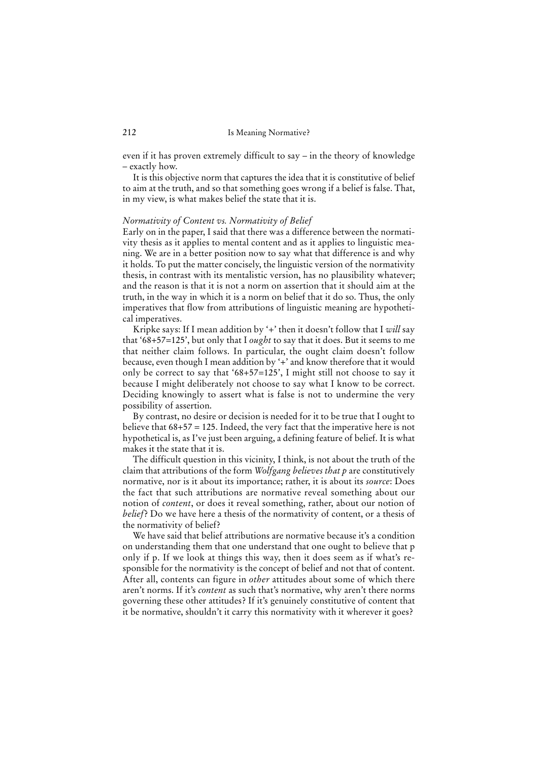even if it has proven extremely difficult to say – in the theory of knowledge – exactly how.

It is this objective norm that captures the idea that it is constitutive of belief to aim at the truth, and so that something goes wrong if a belief is false. That, in my view, is what makes belief the state that it is.

#### *Normativity of Content vs. Normativity of Belief*

Early on in the paper, I said that there was a difference between the normativity thesis as it applies to mental content and as it applies to linguistic meaning. We are in a better position now to say what that difference is and why it holds. To put the matter concisely, the linguistic version of the normativity thesis, in contrast with its mentalistic version, has no plausibility whatever; and the reason is that it is not a norm on assertion that it should aim at the truth, in the way in which it is a norm on belief that it do so. Thus, the only imperatives that flow from attributions of linguistic meaning are hypothetical imperatives.

Kripke says: If I mean addition by '+' then it doesn't follow that I *will* say that '68+57=125', but only that I *ought* to say that it does. But it seems to me that neither claim follows. In particular, the ought claim doesn't follow because, even though I mean addition by '+' and know therefore that it would only be correct to say that '68+57=125', I might still not choose to say it because I might deliberately not choose to say what I know to be correct. Deciding knowingly to assert what is false is not to undermine the very possibility of assertion.

By contrast, no desire or decision is needed for it to be true that I ought to believe that 68+57 = 125. Indeed, the very fact that the imperative here is not hypothetical is, as I've just been arguing, a defining feature of belief. It is what makes it the state that it is.

The difficult question in this vicinity, I think, is not about the truth of the claim that attributions of the form *Wolfgang believes that p* are constitutively normative, nor is it about its importance; rather, it is about its *source*: Does the fact that such attributions are normative reveal something about our notion of *content*, or does it reveal something, rather, about our notion of *belief*? Do we have here a thesis of the normativity of content, or a thesis of the normativity of belief?

We have said that belief attributions are normative because it's a condition on understanding them that one understand that one ought to believe that p only if p. If we look at things this way, then it does seem as if what's responsible for the normativity is the concept of belief and not that of content. After all, contents can figure in *other* attitudes about some of which there aren't norms. If it's *content* as such that's normative, why aren't there norms governing these other attitudes? If it's genuinely constitutive of content that it be normative, shouldn't it carry this normativity with it wherever it goes?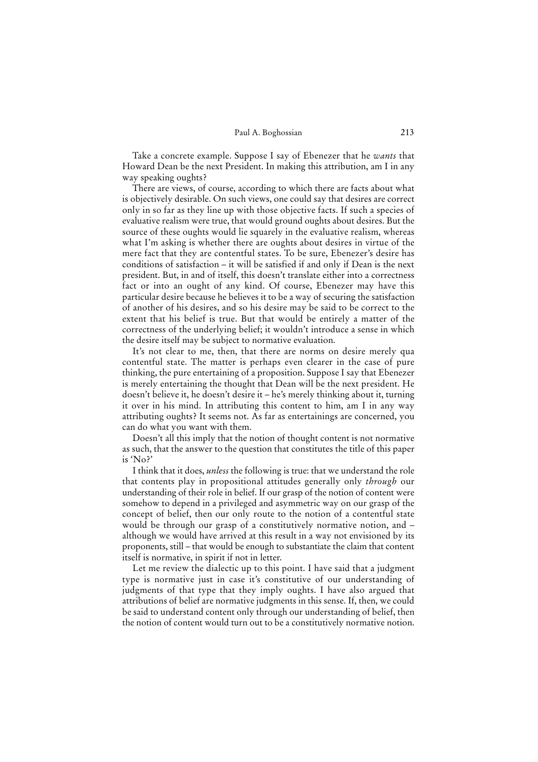Take a concrete example. Suppose I say of Ebenezer that he *wants* that Howard Dean be the next President. In making this attribution, am I in any way speaking oughts?

There are views, of course, according to which there are facts about what is objectively desirable. On such views, one could say that desires are correct only in so far as they line up with those objective facts. If such a species of evaluative realism were true, that would ground oughts about desires. But the source of these oughts would lie squarely in the evaluative realism, whereas what I'm asking is whether there are oughts about desires in virtue of the mere fact that they are contentful states. To be sure, Ebenezer's desire has conditions of satisfaction – it will be satisfied if and only if Dean is the next president. But, in and of itself, this doesn't translate either into a correctness fact or into an ought of any kind. Of course, Ebenezer may have this particular desire because he believes it to be a way of securing the satisfaction of another of his desires, and so his desire may be said to be correct to the extent that his belief is true. But that would be entirely a matter of the correctness of the underlying belief; it wouldn't introduce a sense in which the desire itself may be subject to normative evaluation.

It's not clear to me, then, that there are norms on desire merely qua contentful state. The matter is perhaps even clearer in the case of pure thinking, the pure entertaining of a proposition. Suppose I say that Ebenezer is merely entertaining the thought that Dean will be the next president. He doesn't believe it, he doesn't desire it – he's merely thinking about it, turning it over in his mind. In attributing this content to him, am I in any way attributing oughts? It seems not. As far as entertainings are concerned, you can do what you want with them.

Doesn't all this imply that the notion of thought content is not normative as such, that the answer to the question that constitutes the title of this paper is 'No?'

I think that it does, *unless* the following is true: that we understand the role that contents play in propositional attitudes generally only *through* our understanding of their role in belief. If our grasp of the notion of content were somehow to depend in a privileged and asymmetric way on our grasp of the concept of belief, then our only route to the notion of a contentful state would be through our grasp of a constitutively normative notion, and – although we would have arrived at this result in a way not envisioned by its proponents, still – that would be enough to substantiate the claim that content itself is normative, in spirit if not in letter.

Let me review the dialectic up to this point. I have said that a judgment type is normative just in case it's constitutive of our understanding of judgments of that type that they imply oughts. I have also argued that attributions of belief are normative judgments in this sense. If, then, we could be said to understand content only through our understanding of belief, then the notion of content would turn out to be a constitutively normative notion.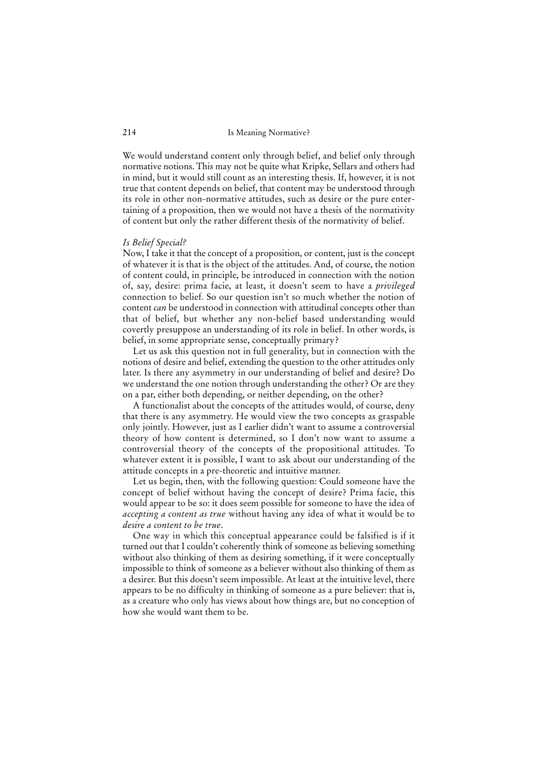We would understand content only through belief, and belief only through normative notions. This may not be quite what Kripke, Sellars and others had in mind, but it would still count as an interesting thesis. If, however, it is not true that content depends on belief, that content may be understood through its role in other non-normative attitudes, such as desire or the pure entertaining of a proposition, then we would not have a thesis of the normativity of content but only the rather different thesis of the normativity of belief.

#### *Is Belief Special?*

Now, I take it that the concept of a proposition, or content, just is the concept of whatever it is that is the object of the attitudes. And, of course, the notion of content could, in principle, be introduced in connection with the notion of, say, desire: prima facie, at least, it doesn't seem to have a *privileged* connection to belief. So our question isn't so much whether the notion of content *can* be understood in connection with attitudinal concepts other than that of belief, but whether any non-belief based understanding would covertly presuppose an understanding of its role in belief. In other words, is belief, in some appropriate sense, conceptually primary?

Let us ask this question not in full generality, but in connection with the notions of desire and belief, extending the question to the other attitudes only later. Is there any asymmetry in our understanding of belief and desire? Do we understand the one notion through understanding the other? Or are they on a par, either both depending, or neither depending, on the other?

A functionalist about the concepts of the attitudes would, of course, deny that there is any asymmetry. He would view the two concepts as graspable only jointly. However, just as I earlier didn't want to assume a controversial theory of how content is determined, so I don't now want to assume a controversial theory of the concepts of the propositional attitudes. To whatever extent it is possible, I want to ask about our understanding of the attitude concepts in a pre-theoretic and intuitive manner.

Let us begin, then, with the following question: Could someone have the concept of belief without having the concept of desire? Prima facie, this would appear to be so: it does seem possible for someone to have the idea of *accepting a content as true* without having any idea of what it would be to *desire a content to be true*.

One way in which this conceptual appearance could be falsified is if it turned out that I couldn't coherently think of someone as believing something without also thinking of them as desiring something, if it were conceptually impossible to think of someone as a believer without also thinking of them as a desirer. But this doesn't seem impossible. At least at the intuitive level, there appears to be no difficulty in thinking of someone as a pure believer: that is, as a creature who only has views about how things are, but no conception of how she would want them to be.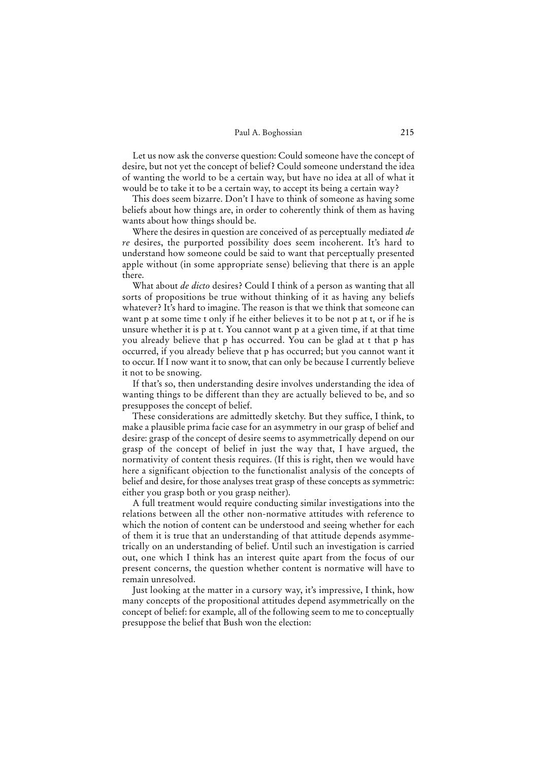Let us now ask the converse question: Could someone have the concept of desire, but not yet the concept of belief? Could someone understand the idea of wanting the world to be a certain way, but have no idea at all of what it would be to take it to be a certain way, to accept its being a certain way?

This does seem bizarre. Don't I have to think of someone as having some beliefs about how things are, in order to coherently think of them as having wants about how things should be.

Where the desires in question are conceived of as perceptually mediated *de re* desires, the purported possibility does seem incoherent. It's hard to understand how someone could be said to want that perceptually presented apple without (in some appropriate sense) believing that there is an apple there.

What about *de dicto* desires? Could I think of a person as wanting that all sorts of propositions be true without thinking of it as having any beliefs whatever? It's hard to imagine. The reason is that we think that someone can want p at some time t only if he either believes it to be not p at t, or if he is unsure whether it is p at t. You cannot want p at a given time, if at that time you already believe that p has occurred. You can be glad at t that p has occurred, if you already believe that p has occurred; but you cannot want it to occur. If I now want it to snow, that can only be because I currently believe it not to be snowing.

If that's so, then understanding desire involves understanding the idea of wanting things to be different than they are actually believed to be, and so presupposes the concept of belief.

These considerations are admittedly sketchy. But they suffice, I think, to make a plausible prima facie case for an asymmetry in our grasp of belief and desire: grasp of the concept of desire seems to asymmetrically depend on our grasp of the concept of belief in just the way that, I have argued, the normativity of content thesis requires. (If this is right, then we would have here a significant objection to the functionalist analysis of the concepts of belief and desire, for those analyses treat grasp of these concepts as symmetric: either you grasp both or you grasp neither).

A full treatment would require conducting similar investigations into the relations between all the other non-normative attitudes with reference to which the notion of content can be understood and seeing whether for each of them it is true that an understanding of that attitude depends asymmetrically on an understanding of belief. Until such an investigation is carried out, one which I think has an interest quite apart from the focus of our present concerns, the question whether content is normative will have to remain unresolved.

Just looking at the matter in a cursory way, it's impressive, I think, how many concepts of the propositional attitudes depend asymmetrically on the concept of belief: for example, all of the following seem to me to conceptually presuppose the belief that Bush won the election: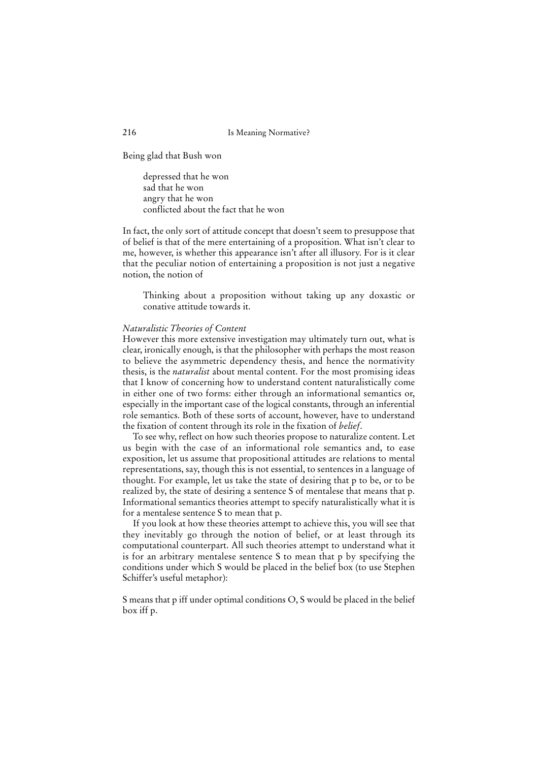Being glad that Bush won

depressed that he won sad that he won angry that he won conflicted about the fact that he won

In fact, the only sort of attitude concept that doesn't seem to presuppose that of belief is that of the mere entertaining of a proposition. What isn't clear to me, however, is whether this appearance isn't after all illusory. For is it clear that the peculiar notion of entertaining a proposition is not just a negative notion, the notion of

Thinking about a proposition without taking up any doxastic or conative attitude towards it.

#### *Naturalistic Theories of Content*

However this more extensive investigation may ultimately turn out, what is clear, ironically enough, is that the philosopher with perhaps the most reason to believe the asymmetric dependency thesis, and hence the normativity thesis, is the *naturalist* about mental content. For the most promising ideas that I know of concerning how to understand content naturalistically come in either one of two forms: either through an informational semantics or, especially in the important case of the logical constants, through an inferential role semantics. Both of these sorts of account, however, have to understand the fixation of content through its role in the fixation of *belief*.

To see why, reflect on how such theories propose to naturalize content. Let us begin with the case of an informational role semantics and, to ease exposition, let us assume that propositional attitudes are relations to mental representations, say, though this is not essential, to sentences in a language of thought. For example, let us take the state of desiring that p to be, or to be realized by, the state of desiring a sentence S of mentalese that means that p. Informational semantics theories attempt to specify naturalistically what it is for a mentalese sentence S to mean that p.

If you look at how these theories attempt to achieve this, you will see that they inevitably go through the notion of belief, or at least through its computational counterpart. All such theories attempt to understand what it is for an arbitrary mentalese sentence S to mean that p by specifying the conditions under which S would be placed in the belief box (to use Stephen Schiffer's useful metaphor):

S means that p iff under optimal conditions O, S would be placed in the belief box iff p.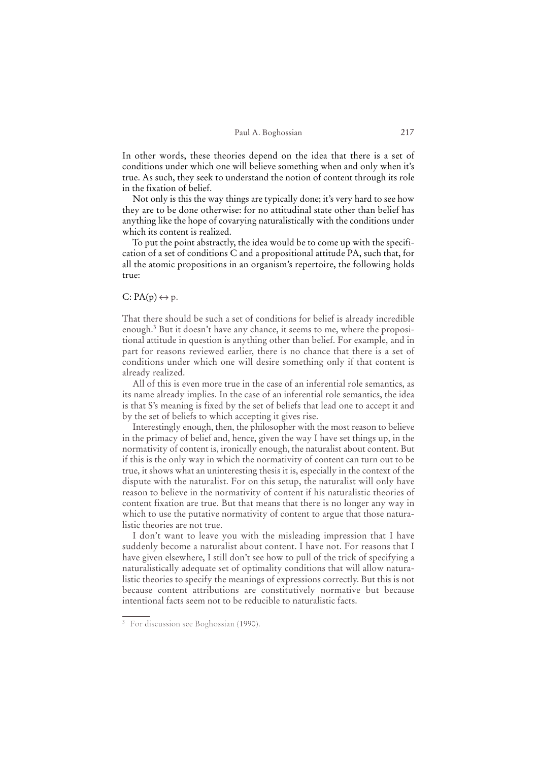In other words, these theories depend on the idea that there is a set of conditions under which one will believe something when and only when it's true. As such, they seek to understand the notion of content through its role in the fixation of belief.

Not only is this the way things are typically done; it's very hard to see how they are to be done otherwise: for no attitudinal state other than belief has anything like the hope of covarying naturalistically with the conditions under which its content is realized.

To put the point abstractly, the idea would be to come up with the specification of a set of conditions C and a propositional attitude PA, such that, for all the atomic propositions in an organism's repertoire, the following holds true:

#### $C: PA(p) \leftrightarrow p.$

That there should be such a set of conditions for belief is already incredible enough.<sup>3</sup> But it doesn't have any chance, it seems to me, where the propositional attitude in question is anything other than belief. For example, and in part for reasons reviewed earlier, there is no chance that there is a set of conditions under which one will desire something only if that content is already realized.

All of this is even more true in the case of an inferential role semantics, as its name already implies. In the case of an inferential role semantics, the idea is that S's meaning is fixed by the set of beliefs that lead one to accept it and by the set of beliefs to which accepting it gives rise.

Interestingly enough, then, the philosopher with the most reason to believe in the primacy of belief and, hence, given the way I have set things up, in the normativity of content is, ironically enough, the naturalist about content. But if this is the only way in which the normativity of content can turn out to be true, it shows what an uninteresting thesis it is, especially in the context of the dispute with the naturalist. For on this setup, the naturalist will only have reason to believe in the normativity of content if his naturalistic theories of content fixation are true. But that means that there is no longer any way in which to use the putative normativity of content to argue that those naturalistic theories are not true.

I don't want to leave you with the misleading impression that I have suddenly become a naturalist about content. I have not. For reasons that I have given elsewhere, I still don't see how to pull of the trick of specifying a naturalistically adequate set of optimality conditions that will allow naturalistic theories to specify the meanings of expressions correctly. But this is not because content attributions are constitutively normative but because intentional facts seem not to be reducible to naturalistic facts.

<sup>&</sup>lt;sup>3</sup> For discussion see Boghossian (1990).